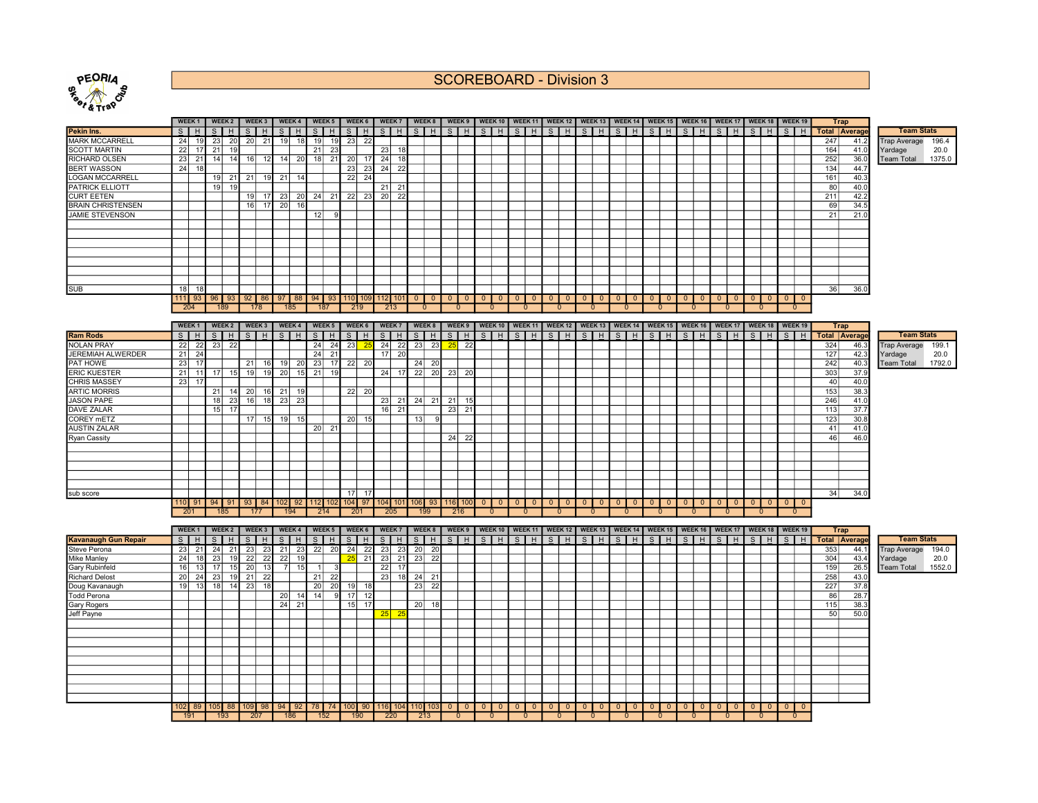

SCOREBOARD - Division 3

|                             |                 | WEEK <sub>1</sub> |    | WEEK 2  |                 | WEEK 3   | WEEK 4      |    |                 |     | WEEK 5   WEEK 6 |                 | WEEK 7                |    |                                       |                                                      |                |                 |          |                          |                          |                |                         |                |                         |                         |                |                            |                |                |                |                         |          | WEEK 8   WEEK 9   WEEK 10   WEEK 11   WEEK 12   WEEK 13   WEEK 14   WEEK 15   WEEK 16   WEEK 17   WEEK 18   WEEK 19 |     | <b>Trap</b>          |                              |        |
|-----------------------------|-----------------|-------------------|----|---------|-----------------|----------|-------------|----|-----------------|-----|-----------------|-----------------|-----------------------|----|---------------------------------------|------------------------------------------------------|----------------|-----------------|----------|--------------------------|--------------------------|----------------|-------------------------|----------------|-------------------------|-------------------------|----------------|----------------------------|----------------|----------------|----------------|-------------------------|----------|---------------------------------------------------------------------------------------------------------------------|-----|----------------------|------------------------------|--------|
| Pekin Ins.                  | S               | H                 | S  | H       | $\overline{s}$  | <b>H</b> | $\vert$ s   | H  | $S$ $H$         |     | $S$ $H$         |                 | $S$ $H$               |    | $S$ $H$                               | $S$ $H$                                              |                | $S$ $H$ $S$ $H$ |          |                          |                          |                |                         |                | $S$  H S H S H          | $S$ $H$ $S$ $H$ $S$ $H$ |                |                            |                |                |                | $S$ $H$                 |          | $S$ $H$                                                                                                             |     | <b>Total Average</b> | <b>Team Stats</b>            |        |
| <b>MARK MCCARRELL</b>       | 24              | 19                | 23 | 20      | 20              | 21       | 19          | 18 | 19              | 19I | 23              | 22              |                       |    |                                       |                                                      |                |                 |          |                          |                          |                |                         |                |                         |                         |                |                            |                |                |                |                         |          |                                                                                                                     | 247 | 41.2                 | <b>Trap Average</b>          | 196.4  |
| <b>SCOTT MARTIN</b>         | 22              | 17                | 21 | 19      |                 |          |             |    | 21              | 23  |                 |                 | 23<br>18              |    |                                       |                                                      |                |                 |          |                          |                          |                |                         |                |                         |                         |                |                            |                |                |                |                         |          |                                                                                                                     | 164 | 41.0                 |                              | 20.0   |
| <b>RICHARD OLSEN</b>        | 23              | 21                | 14 | 14      | 16              |          | 14          | 20 | 18              | 21  | 20              | 17              | 18                    |    |                                       |                                                      |                |                 |          |                          |                          |                |                         |                |                         |                         |                |                            |                |                |                |                         |          |                                                                                                                     | 252 | 36.0                 | Yardage<br><b>Team Total</b> | 1375.0 |
|                             |                 |                   |    |         |                 | 12       |             |    |                 |     |                 |                 | 24                    |    |                                       |                                                      |                |                 |          |                          |                          |                |                         |                |                         |                         |                |                            |                |                |                |                         |          |                                                                                                                     |     |                      |                              |        |
| <b>BERT WASSON</b>          | 24              | 18                |    |         |                 |          |             |    |                 |     | 23              | 23              | 24<br>$\overline{22}$ |    |                                       |                                                      |                |                 |          |                          |                          |                |                         |                |                         |                         |                |                            |                |                |                |                         |          |                                                                                                                     | 134 | 44.7                 |                              |        |
| <b>LOGAN MCCARRELL</b>      |                 |                   | 19 |         | 21 21           |          | 19 21       | 14 |                 |     | 22              | 24              |                       |    |                                       |                                                      |                |                 |          |                          |                          |                |                         |                |                         |                         |                |                            |                |                |                |                         |          |                                                                                                                     | 161 | 40.3                 |                              |        |
| PATRICK ELLIOTT             |                 |                   | 19 | 19      |                 |          |             |    |                 |     |                 |                 | $21 \mid 21$          |    |                                       |                                                      |                |                 |          |                          |                          |                |                         |                |                         |                         |                |                            |                |                |                |                         |          |                                                                                                                     | 80  | 40.0                 |                              |        |
| <b>CURT EETEN</b>           |                 |                   |    |         |                 |          | 19 17 23    | 20 | 24 21           |     | 22              | 23              | 20<br>22              |    |                                       |                                                      |                |                 |          |                          |                          |                |                         |                |                         |                         |                |                            |                |                |                |                         |          |                                                                                                                     | 211 | 42.2                 |                              |        |
| <b>BRAIN CHRISTENSEN</b>    |                 |                   |    |         | 16 <sup>1</sup> |          | 17 20       | 16 |                 |     |                 |                 |                       |    |                                       |                                                      |                |                 |          |                          |                          |                |                         |                |                         |                         |                |                            |                |                |                |                         |          |                                                                                                                     | 69  | 34.5                 |                              |        |
| <b>JAMIE STEVENSON</b>      |                 |                   |    |         |                 |          |             |    | 12              | a   |                 |                 |                       |    |                                       |                                                      |                |                 |          |                          |                          |                |                         |                |                         |                         |                |                            |                |                |                |                         |          |                                                                                                                     | 21  | 21.0                 |                              |        |
|                             |                 |                   |    |         |                 |          |             |    |                 |     |                 |                 |                       |    |                                       |                                                      |                |                 |          |                          |                          |                |                         |                |                         |                         |                |                            |                |                |                |                         |          |                                                                                                                     |     |                      |                              |        |
|                             |                 |                   |    |         |                 |          |             |    |                 |     |                 |                 |                       |    |                                       |                                                      |                |                 |          |                          |                          |                |                         |                |                         |                         |                |                            |                |                |                |                         |          |                                                                                                                     |     |                      |                              |        |
|                             |                 |                   |    |         |                 |          |             |    |                 |     |                 |                 |                       |    |                                       |                                                      |                |                 |          |                          |                          |                |                         |                |                         |                         |                |                            |                |                |                |                         |          |                                                                                                                     |     |                      |                              |        |
|                             |                 |                   |    |         |                 |          |             |    |                 |     |                 |                 |                       |    |                                       |                                                      |                |                 |          |                          |                          |                |                         |                |                         |                         |                |                            |                |                |                |                         |          |                                                                                                                     |     |                      |                              |        |
|                             |                 |                   |    |         |                 |          |             |    |                 |     |                 |                 |                       |    |                                       |                                                      |                |                 |          |                          |                          |                |                         |                |                         |                         |                |                            |                |                |                |                         |          |                                                                                                                     |     |                      |                              |        |
|                             |                 |                   |    |         |                 |          |             |    |                 |     |                 |                 |                       |    |                                       |                                                      |                |                 |          |                          |                          |                |                         |                |                         |                         |                |                            |                |                |                |                         |          |                                                                                                                     |     |                      |                              |        |
|                             |                 |                   |    |         |                 |          |             |    |                 |     |                 |                 |                       |    |                                       |                                                      |                |                 |          |                          |                          |                |                         |                |                         |                         |                |                            |                |                |                |                         |          |                                                                                                                     |     |                      |                              |        |
| <b>SUB</b>                  | 18 <sup>l</sup> | -18               |    |         |                 |          |             |    |                 |     |                 |                 |                       |    |                                       |                                                      |                |                 |          |                          |                          |                |                         |                |                         |                         |                |                            |                |                |                |                         |          |                                                                                                                     | 36  | 36.0                 |                              |        |
|                             |                 | $111$ 93          |    | $96$ 93 |                 | $92$ 86  | $97$ 88     |    |                 |     |                 |                 | 94 93 110 109 112 101 |    | $0$ 0                                 | $\overline{\phantom{0}}$<br>$\overline{\phantom{0}}$ | $\Omega$       | $\overline{0}$  | $0$ 0    | $\overline{\phantom{0}}$ | $\overline{0}$           | $\overline{0}$ | $\overline{0}$          | $\overline{0}$ | $\overline{\mathbf{0}}$ | $\overline{0}$          | $\Omega$       | $\overline{0}$             | $\Omega$       | $\overline{0}$ | $\overline{0}$ | $\overline{0}$          | $\Omega$ | $\Omega$<br>$\Omega$                                                                                                |     |                      |                              |        |
|                             |                 | 204               |    | 189     |                 | 178      | 185         |    | 187             |     | 219             |                 | 213                   |    | $\mathbf{0}$                          | $\mathbf{0}$                                         |                |                 | $\Omega$ |                          | 0                        |                | 0                       |                | $\Omega$                |                         |                | $\Omega$                   |                | $\mathbf{0}$   |                | $\Omega$                |          |                                                                                                                     |     |                      |                              |        |
|                             |                 |                   |    |         |                 |          |             |    |                 |     |                 |                 |                       |    |                                       |                                                      |                |                 |          |                          |                          |                |                         |                |                         |                         |                |                            |                |                |                |                         |          |                                                                                                                     |     |                      |                              |        |
|                             |                 | WEEK <sub>1</sub> |    | WEEK 2  |                 | WEEK 3   | WEEK 4      |    | WEEK 5          |     | WEEK 6          |                 | <b>WEEK7</b>          |    | WEEK 8                                |                                                      |                |                 |          |                          |                          |                |                         |                |                         |                         |                |                            |                |                |                |                         |          | WEEK 9   WEEK 10   WEEK 11   WEEK 12   WEEK 13   WEEK 14   WEEK 15   WEEK 16   WEEK 17   WEEK 18   WEEK 19          |     | <b>Trap</b>          |                              |        |
| <b>Ram Rods</b>             | S               | H                 |    | $S$ $H$ |                 | $S$ $H$  | $S$ $H$     |    | $S$ $H$         |     | $S$ $H$         |                 | $S$ $H$               |    | $S$ $H$                               | $S$ $H$                                              |                | $S$ $H$         | $S$ H    |                          | $S$ $H$                  |                | $S$ $H$                 |                | $S$ $H$                 | $S$ $H$                 |                | $S$ $H$                    |                | $S$ $H$        |                | $S$ $H$                 |          | $S$ $H$                                                                                                             |     | <b>Total Average</b> | <b>Team Stats</b>            |        |
| <b>NOLAN PRAY</b>           | 22              | 22                | 23 | 22      |                 |          |             |    | 24              | 24  | 23              | $-25$           | $24$ 22               |    | $23 \mid 23$                          | 25<br>22                                             |                |                 |          |                          |                          |                |                         |                |                         |                         |                |                            |                |                |                |                         |          |                                                                                                                     | 324 | 46.3                 | <b>Trap Average</b>          | 199.1  |
| JEREMIAH ALWERDER           | 21              | 24                |    |         |                 |          |             |    | 24              | 21  |                 |                 | 17<br>20              |    |                                       |                                                      |                |                 |          |                          |                          |                |                         |                |                         |                         |                |                            |                |                |                |                         |          |                                                                                                                     | 127 | 42.3                 | Yardage                      | 20.0   |
| PAT HOWE                    | 23              | 17                |    |         | 21              | 16       | 19          | 20 | 23              | 17  | 22              | 20              |                       |    | $24$ 20                               |                                                      |                |                 |          |                          |                          |                |                         |                |                         |                         |                |                            |                |                |                |                         |          |                                                                                                                     | 242 | 40.3                 | <b>Team Total</b>            | 1792.0 |
| <b>ERIC KUESTER</b>         | 21              | 11                | 17 | 15      | 19              | 19       | 20          | 15 | 21              | 19  |                 |                 | $24$ 17               |    | $22$ 20                               | 23<br>20                                             |                |                 |          |                          |                          |                |                         |                |                         |                         |                |                            |                |                |                |                         |          |                                                                                                                     | 303 | 37.9                 |                              |        |
| <b>CHRIS MASSEY</b>         | 23              | 17                |    |         |                 |          |             |    |                 |     |                 |                 |                       |    |                                       |                                                      |                |                 |          |                          |                          |                |                         |                |                         |                         |                |                            |                |                |                |                         |          |                                                                                                                     | 40  | 40.0                 |                              |        |
| <b>ARTIC MORRIS</b>         |                 |                   | 21 | 14      | 20              | 16       | 21          | 19 |                 |     | $22$ 20         |                 |                       |    |                                       |                                                      |                |                 |          |                          |                          |                |                         |                |                         |                         |                |                            |                |                |                |                         |          |                                                                                                                     | 153 | 38.3                 |                              |        |
| <b>JASON PAPE</b>           |                 |                   | 18 | 23      | 16              |          | 18 23       | 23 |                 |     |                 |                 | $23$ 21               |    | $24$ 21                               | $21$ 15                                              |                |                 |          |                          |                          |                |                         |                |                         |                         |                |                            |                |                |                |                         |          |                                                                                                                     | 246 | 41.0                 |                              |        |
| DAVE ZALAR                  |                 |                   | 15 | 17      |                 |          |             |    |                 |     |                 |                 | 16<br>$\overline{21}$ |    |                                       | 21<br>23                                             |                |                 |          |                          |                          |                |                         |                |                         |                         |                |                            |                |                |                |                         |          |                                                                                                                     | 113 | 37.7                 |                              |        |
| <b>COREY mETZ</b>           |                 |                   |    |         | 17              | 15       | 19          | 15 |                 |     | 20              | 15              |                       |    | 13                                    |                                                      |                |                 |          |                          |                          |                |                         |                |                         |                         |                |                            |                |                |                |                         |          |                                                                                                                     | 123 | 30.8                 |                              |        |
| <b>AUSTIN ZALAR</b>         |                 |                   |    |         |                 |          |             |    | 20 <sup>1</sup> | 21  |                 |                 |                       |    |                                       |                                                      |                |                 |          |                          |                          |                |                         |                |                         |                         |                |                            |                |                |                |                         |          |                                                                                                                     | 41  | 41.0                 |                              |        |
| Ryan Cassity                |                 |                   |    |         |                 |          |             |    |                 |     |                 |                 |                       |    |                                       | 24<br>22                                             |                |                 |          |                          |                          |                |                         |                |                         |                         |                |                            |                |                |                |                         |          |                                                                                                                     | 46  | 46.0                 |                              |        |
|                             |                 |                   |    |         |                 |          |             |    |                 |     |                 |                 |                       |    |                                       |                                                      |                |                 |          |                          |                          |                |                         |                |                         |                         |                |                            |                |                |                |                         |          |                                                                                                                     |     |                      |                              |        |
|                             |                 |                   |    |         |                 |          |             |    |                 |     |                 |                 |                       |    |                                       |                                                      |                |                 |          |                          |                          |                |                         |                |                         |                         |                |                            |                |                |                |                         |          |                                                                                                                     |     |                      |                              |        |
|                             |                 |                   |    |         |                 |          |             |    |                 |     |                 |                 |                       |    |                                       |                                                      |                |                 |          |                          |                          |                |                         |                |                         |                         |                |                            |                |                |                |                         |          |                                                                                                                     |     |                      |                              |        |
|                             |                 |                   |    |         |                 |          |             |    |                 |     |                 |                 |                       |    |                                       |                                                      |                |                 |          |                          |                          |                |                         |                |                         |                         |                |                            |                |                |                |                         |          |                                                                                                                     |     |                      |                              |        |
|                             |                 |                   |    |         |                 |          |             |    |                 |     |                 |                 |                       |    |                                       |                                                      |                |                 |          |                          |                          |                |                         |                |                         |                         |                |                            |                |                |                |                         |          |                                                                                                                     |     |                      |                              |        |
| sub score                   |                 |                   |    |         |                 |          |             |    |                 |     | 17              | 17              |                       |    |                                       |                                                      |                |                 |          |                          |                          |                |                         |                |                         |                         |                |                            |                |                |                |                         |          |                                                                                                                     | 34  | 34.0                 |                              |        |
|                             |                 | $110$ 91          |    | $94$ 91 |                 | 93 84    | 102 92      |    |                 |     |                 |                 |                       |    | 112 102 104 97 104 101 106 93 116 100 |                                                      | $\overline{0}$ | $\circ$         | $0$ 0    | $\overline{0}$           | $\overline{0}$           | $\overline{0}$ | $\overline{\mathbf{0}}$ |                | $0$ 0                   | $\overline{0}$          | $\overline{0}$ | $\overline{0}$             | $\overline{0}$ | $\overline{0}$ | $\overline{0}$ | $0$ 0                   |          | $0$ 0                                                                                                               |     |                      |                              |        |
|                             |                 | 201               |    | 185     |                 | 177      | 194         |    | 214             |     | 201             |                 | 205                   |    | 199                                   | 216                                                  |                | $\mathbf{0}$    | $\Omega$ |                          | $\mathbf{0}$             |                | $\mathbf{0}$            |                | $\Omega$                | $\Omega$                |                | $\mathbf{0}$               |                | $\mathbf{0}$   |                | $\Omega$                |          |                                                                                                                     |     |                      |                              |        |
|                             |                 |                   |    |         |                 |          |             |    |                 |     |                 |                 |                       |    |                                       |                                                      |                |                 |          |                          |                          |                |                         |                |                         |                         |                |                            |                |                |                |                         |          |                                                                                                                     |     |                      |                              |        |
|                             |                 | WEEK <sub>1</sub> |    | WEEK 2  |                 | WEEK 3   | WEEK 4      |    | WEEK 5          |     | WEEK 6          |                 | <b>WEEK7</b>          |    | WEEK 8                                |                                                      |                |                 |          |                          |                          |                |                         |                |                         |                         |                |                            |                |                |                |                         |          | WEEK 9   WEEK 10   WEEK 11   WEEK 12   WEEK 13   WEEK 14   WEEK 15   WEEK 16   WEEK 17   WEEK 18   WEEK 19          |     | <b>Trap</b>          |                              |        |
| <b>Kavanaugh Gun Repair</b> | $\overline{s}$  | H                 | S  | H       |                 | $S$ $H$  | $S$ $H$     |    | $S$ $H$         |     | $S$ $H$         |                 | $S$ H                 |    | $S$ $H$                               | $S$ $H$                                              |                | $S$ $H$         | $S$ H    |                          | $S$ $H$                  |                | $S$ $H$                 |                | $S$ H                   | $S$ $H$                 |                | $S$ H                      |                | $S$ $H$        |                | $S$ H                   |          | $S$ $H$                                                                                                             |     | <b>Total Average</b> | <b>Team Stats</b>            |        |
| <b>Steve Perona</b>         | 23              | 21                | 24 | 21      | 23              | 23       | 21          | 23 | $22$ 20         |     | 24              | $\overline{22}$ | 23<br>23              |    | $20$ 20                               |                                                      |                |                 |          |                          |                          |                |                         |                |                         |                         |                |                            |                |                |                |                         |          |                                                                                                                     | 353 | 44.1                 | <b>Trap Average</b>          | 194.0  |
| <b>Mike Manley</b>          | 24              | 18                | 23 | 19      | 22              | 22       | 22          | 19 |                 |     | 25              | 21              | 23<br>21              |    | 23<br>22                              |                                                      |                |                 |          |                          |                          |                |                         |                |                         |                         |                |                            |                |                |                |                         |          |                                                                                                                     | 304 | 43.4                 | Yardage                      | 20.0   |
| Gary Rubinfeld              | 16              | 13                | 17 | 15      | 20              | 13       | 7           | 15 | 1               |     |                 |                 | 22<br>17              |    |                                       |                                                      |                |                 |          |                          |                          |                |                         |                |                         |                         |                |                            |                |                |                |                         |          |                                                                                                                     | 159 | 26.5                 | <b>Team Total</b>            | 1552.0 |
| <b>Richard Delost</b>       | 20              | 24                | 23 | 19      | 21              | 22       |             |    | 21              | 22  |                 |                 | 23                    | 18 | $24$ 21                               |                                                      |                |                 |          |                          |                          |                |                         |                |                         |                         |                |                            |                |                |                |                         |          |                                                                                                                     | 258 | 43.0                 |                              |        |
| Doug Kavanaugh              | 19 <sup>1</sup> | 13                | 18 | 14      | 23              | 18       |             |    | 20              | 20I | 19              | 18              |                       |    | 23<br>22                              |                                                      |                |                 |          |                          |                          |                |                         |                |                         |                         |                |                            |                |                |                |                         |          |                                                                                                                     | 227 | 37.8                 |                              |        |
| <b>Todd Perona</b>          |                 |                   |    |         |                 |          | 20          | 14 | 14              | -9  | 17              | 12              |                       |    |                                       |                                                      |                |                 |          |                          |                          |                |                         |                |                         |                         |                |                            |                |                |                |                         |          |                                                                                                                     | 86  | 28.7                 |                              |        |
| Gary Rogers                 |                 |                   |    |         |                 |          | 24          | 21 |                 |     | 15              | 17              |                       |    | $20$ 18                               |                                                      |                |                 |          |                          |                          |                |                         |                |                         |                         |                |                            |                |                |                |                         |          |                                                                                                                     | 115 | 38.3                 |                              |        |
| Jeff Payne                  |                 |                   |    |         |                 |          |             |    |                 |     |                 |                 | $25$ 25               |    |                                       |                                                      |                |                 |          |                          |                          |                |                         |                |                         |                         |                |                            |                |                |                |                         |          |                                                                                                                     | 50  | 50.0                 |                              |        |
|                             |                 |                   |    |         |                 |          |             |    |                 |     |                 |                 |                       |    |                                       |                                                      |                |                 |          |                          |                          |                |                         |                |                         |                         |                |                            |                |                |                |                         |          |                                                                                                                     |     |                      |                              |        |
|                             |                 |                   |    |         |                 |          |             |    |                 |     |                 |                 |                       |    |                                       |                                                      |                |                 |          |                          |                          |                |                         |                |                         |                         |                |                            |                |                |                |                         |          |                                                                                                                     |     |                      |                              |        |
|                             |                 |                   |    |         |                 |          |             |    |                 |     |                 |                 |                       |    |                                       |                                                      |                |                 |          |                          |                          |                |                         |                |                         |                         |                |                            |                |                |                |                         |          |                                                                                                                     |     |                      |                              |        |
|                             |                 |                   |    |         |                 |          |             |    |                 |     |                 |                 |                       |    |                                       |                                                      |                |                 |          |                          |                          |                |                         |                |                         |                         |                |                            |                |                |                |                         |          |                                                                                                                     |     |                      |                              |        |
|                             |                 |                   |    |         |                 |          |             |    |                 |     |                 |                 |                       |    |                                       |                                                      |                |                 |          |                          |                          |                |                         |                |                         |                         |                |                            |                |                |                |                         |          |                                                                                                                     |     |                      |                              |        |
|                             |                 |                   |    |         |                 |          |             |    |                 |     |                 |                 |                       |    |                                       |                                                      |                |                 |          |                          |                          |                |                         |                |                         |                         |                |                            |                |                |                |                         |          |                                                                                                                     |     |                      |                              |        |
|                             |                 |                   |    |         |                 |          |             |    |                 |     |                 |                 |                       |    |                                       |                                                      |                |                 |          |                          |                          |                |                         |                |                         |                         |                |                            |                |                |                |                         |          |                                                                                                                     |     |                      |                              |        |
|                             |                 |                   |    |         |                 |          |             |    |                 |     |                 |                 |                       |    |                                       |                                                      |                |                 |          |                          |                          |                |                         |                |                         |                         |                |                            |                |                |                |                         |          |                                                                                                                     |     |                      |                              |        |
|                             |                 |                   |    |         |                 |          |             |    |                 |     |                 |                 |                       |    |                                       |                                                      |                |                 |          |                          |                          |                |                         |                |                         |                         |                |                            |                |                |                |                         |          |                                                                                                                     |     |                      |                              |        |
|                             |                 |                   |    |         |                 |          |             |    |                 |     |                 |                 |                       |    |                                       |                                                      |                |                 |          |                          |                          |                |                         |                |                         |                         |                |                            |                |                |                |                         |          | $\overline{\phantom{0}}$ 0 $\overline{\phantom{0}}$<br>$\overline{\mathbf{0}}$                                      |     |                      |                              |        |
|                             |                 | 191               |    |         |                 |          | 193 207 186 |    | 152             |     |                 |                 |                       |    | $190$ 220 213                         | $\overline{\phantom{0}}$                             |                | $\sim$ 0        | $\sim$ 0 |                          | $\overline{\phantom{0}}$ |                | $\overline{0}$          |                | $\overline{0}$          | $\overline{\mathbf{0}}$ |                | $\overline{\phantom{0}}$ 0 |                | $\overline{0}$ |                | $\overline{\mathbf{0}}$ |          | $\Omega$                                                                                                            |     |                      |                              |        |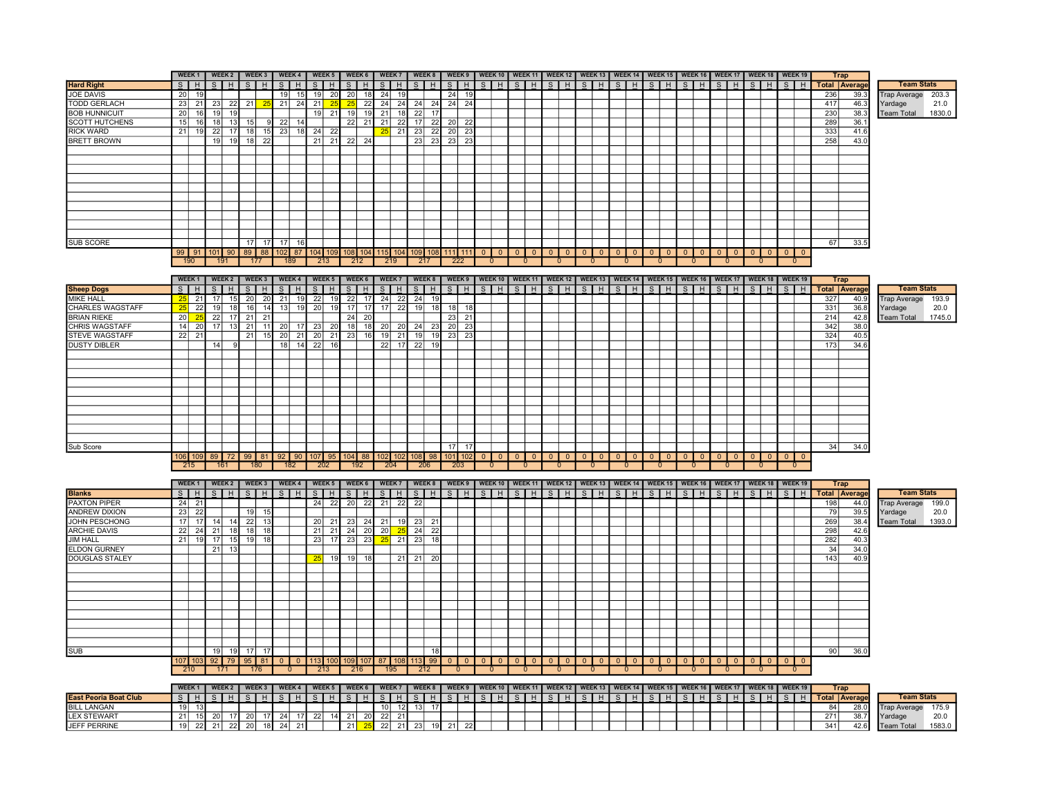|                              |                 | WEEK <sub>1</sub> |                 | WEEK 2          |                 | WEEK 3          |              | WEEK <sub>4</sub> |                 | WEEK 5          | WEEK 6                   |     | WEEK 7          |                 | WEEK 8             |                 |                         |                 | WEEK 9   WEEK 10   WEEK 11   WEEK 12   WEEK 13   WEEK 14   WEEK 15   WEEK 16   WEEK 17   WEEK 18   WEEK 19          |                         |                                             |                |                |              |                    |               |                |                 |              |               |          |                |              |                                                    |               |              |     | <b>Trap</b>          |                              |
|------------------------------|-----------------|-------------------|-----------------|-----------------|-----------------|-----------------|--------------|-------------------|-----------------|-----------------|--------------------------|-----|-----------------|-----------------|--------------------|-----------------|-------------------------|-----------------|---------------------------------------------------------------------------------------------------------------------|-------------------------|---------------------------------------------|----------------|----------------|--------------|--------------------|---------------|----------------|-----------------|--------------|---------------|----------|----------------|--------------|----------------------------------------------------|---------------|--------------|-----|----------------------|------------------------------|
| <b>Hard Right</b>            | S               | H                 | $\overline{s}$  | H               | $\overline{s}$  | H               |              | $S$ $H$           | S               | H               | $\overline{s}$           | Iн  | S               | H               | $S$ $H$            |                 | $S$ $H$                 |                 |                                                                                                                     |                         |                                             |                |                |              |                    |               |                | $S$ $H$ $S$ $H$ |              | $S$ $H$       |          | $S$ $H$        |              | $\overline{\mathbf{s}}$<br>H                       | S             | H            |     | <b>Total Average</b> | <b>Team Stats</b>            |
| <b>JOE DAVIS</b>             | 20              | 19                |                 |                 |                 |                 |              | $19$ 15           |                 | $19$ 20         | 20                       | 18  | 24              | 19              |                    |                 | $24$ 19                 |                 |                                                                                                                     |                         |                                             |                |                |              |                    |               |                |                 |              |               |          |                |              |                                                    |               |              | 236 | 39.3                 | rap Average<br>203.3         |
| <b>TODD GERLACH</b>          | 23              | 21                | 23              | -22             | 21              |                 | 21           | 24                | 21              | 25              | 25                       | 22  | 24              | 24              | 24                 | 24              | $24$ 24                 |                 |                                                                                                                     |                         |                                             |                |                |              |                    |               |                |                 |              |               |          |                |              |                                                    |               |              | 417 | 46.3                 | 21.0<br>Yardage              |
| <b>BOB HUNNICUIT</b>         | 20              | 16                | 19              | 19              |                 |                 |              |                   | 19              | $\overline{21}$ | 19                       | 19  | 21              | 18              | 22                 | 17              |                         |                 |                                                                                                                     |                         |                                             |                |                |              |                    |               |                |                 |              |               |          |                |              |                                                    |               |              | 230 | 38.3                 | 1830.0<br><b>Team Total</b>  |
| <b>SCOTT HUTCHENS</b>        | 15              | 16                | 18              | 13              | 15              | 9               | 22           | 14                |                 |                 | $22$ 21                  |     | 21              | 22              | 17                 | 22              | 20                      | 22              |                                                                                                                     |                         |                                             |                |                |              |                    |               |                |                 |              |               |          |                |              |                                                    |               |              | 289 | 36.1                 |                              |
| <b>RICK WARD</b>             | 21              | 19                |                 | $22$ 17         | 18              | 15              | 23           | 18                |                 | $24$ 22         |                          |     | 25              | 21              | 23                 | $\overline{22}$ | 20 23                   |                 |                                                                                                                     |                         |                                             |                |                |              |                    |               |                |                 |              |               |          |                |              |                                                    |               |              | 333 | 41.6                 |                              |
| <b>BRETT BROWN</b>           |                 |                   |                 | $19$ 19         | 18              | 22              |              |                   |                 | $21$ 21         | 22 24                    |     |                 |                 |                    | 23 23           | 23 23                   |                 |                                                                                                                     |                         |                                             |                |                |              |                    |               |                |                 |              |               |          |                |              |                                                    |               |              | 258 | 43.0                 |                              |
|                              |                 |                   |                 |                 |                 |                 |              |                   |                 |                 |                          |     |                 |                 |                    |                 |                         |                 |                                                                                                                     |                         |                                             |                |                |              |                    |               |                |                 |              |               |          |                |              |                                                    |               |              |     |                      |                              |
|                              |                 |                   |                 |                 |                 |                 |              |                   |                 |                 |                          |     |                 |                 |                    |                 |                         |                 |                                                                                                                     |                         |                                             |                |                |              |                    |               |                |                 |              |               |          |                |              |                                                    |               |              |     |                      |                              |
|                              |                 |                   |                 |                 |                 |                 |              |                   |                 |                 |                          |     |                 |                 |                    |                 |                         |                 |                                                                                                                     |                         |                                             |                |                |              |                    |               |                |                 |              |               |          |                |              |                                                    |               |              |     |                      |                              |
|                              |                 |                   |                 |                 |                 |                 |              |                   |                 |                 |                          |     |                 |                 |                    |                 |                         |                 |                                                                                                                     |                         |                                             |                |                |              |                    |               |                |                 |              |               |          |                |              |                                                    |               |              |     |                      |                              |
|                              |                 |                   |                 |                 |                 |                 |              |                   |                 |                 |                          |     |                 |                 |                    |                 |                         |                 |                                                                                                                     |                         |                                             |                |                |              |                    |               |                |                 |              |               |          |                |              |                                                    |               |              |     |                      |                              |
|                              |                 |                   |                 |                 |                 |                 |              |                   |                 |                 |                          |     |                 |                 |                    |                 |                         |                 |                                                                                                                     |                         |                                             |                |                |              |                    |               |                |                 |              |               |          |                |              |                                                    |               |              |     |                      |                              |
|                              |                 |                   |                 |                 |                 |                 |              |                   |                 |                 |                          |     |                 |                 |                    |                 |                         |                 |                                                                                                                     |                         |                                             |                |                |              |                    |               |                |                 |              |               |          |                |              |                                                    |               |              |     |                      |                              |
|                              |                 |                   |                 |                 |                 |                 |              |                   |                 |                 |                          |     |                 |                 |                    |                 |                         |                 |                                                                                                                     |                         |                                             |                |                |              |                    |               |                |                 |              |               |          |                |              |                                                    |               |              |     |                      |                              |
|                              |                 |                   |                 |                 |                 |                 |              |                   |                 |                 |                          |     |                 |                 |                    |                 |                         |                 |                                                                                                                     |                         |                                             |                |                |              |                    |               |                |                 |              |               |          |                |              |                                                    |               |              |     |                      |                              |
|                              |                 |                   |                 |                 |                 |                 |              |                   |                 |                 |                          |     |                 |                 |                    |                 |                         |                 |                                                                                                                     |                         |                                             |                |                |              |                    |               |                |                 |              |               |          |                |              |                                                    |               |              |     |                      |                              |
| <b>SUB SCORE</b>             |                 |                   |                 |                 | 17              | 17 <sup>1</sup> | 17           | 16                |                 |                 |                          |     |                 |                 |                    |                 |                         |                 |                                                                                                                     |                         |                                             |                |                |              |                    |               |                |                 |              |               |          |                |              |                                                    |               |              | 67  | 33.5                 |                              |
|                              |                 |                   | 99 91 101 90    |                 |                 | 89 88           |              | 102 87            |                 |                 |                          |     |                 |                 |                    |                 |                         |                 | 115 104 109 108 111 111 0 0                                                                                         | $\overline{\mathbf{0}}$ | $\begin{array}{ c c } \hline 0 \end{array}$ |                | $0$   0        |              |                    |               |                | $0$   0         |              |               |          | $01$ 0         |              | $\overline{\mathbf{0}}$<br>$\overline{\mathbf{0}}$ |               |              |     |                      |                              |
|                              |                 | 190               |                 | 191             |                 | 177             |              | 189               | 213             |                 | 104 109 108 104<br>212   |     | 219             |                 | 217                |                 | 222                     |                 | $\mathbf{0}$                                                                                                        |                         | $\Omega$                                    |                |                |              | $01$ 0<br>$\Omega$ |               | 0              | 0               |              | $01$ 0        |          | $\Omega$       |              | 0                                                  | $01$ 0<br>0   |              |     |                      |                              |
|                              |                 |                   |                 |                 |                 |                 |              |                   |                 |                 |                          |     |                 |                 |                    |                 |                         |                 |                                                                                                                     |                         |                                             |                |                |              |                    |               |                |                 |              |               |          |                |              |                                                    |               |              |     |                      |                              |
|                              |                 | WEEK <sub>1</sub> |                 | WEEK 2          |                 | WEEK 3          |              | WEEK 4            |                 | WEEK 5          | WEEK 6                   |     | WEEK 7          |                 | WEEK 8             |                 |                         |                 |                                                                                                                     |                         |                                             |                |                |              |                    |               |                |                 |              |               |          |                |              |                                                    |               |              |     |                      |                              |
|                              |                 |                   |                 |                 |                 |                 |              |                   |                 |                 |                          |     |                 |                 |                    |                 |                         |                 | WEEK 9   WEEK 10   WEEK 11   WEEK 12   WEEK 13   WEEK 14   WEEK 15   WEEK 16   WEEK 17   WEEK 18   WEEK 19          |                         |                                             |                |                |              |                    |               |                |                 |              |               |          |                |              |                                                    |               |              |     | <b>Trap</b>          |                              |
| <b>Sheep Dogs</b>            |                 | $S$ $H$           |                 | $S$ $H$         |                 | $S$ $H$         |              | $S$ $H$           |                 | $S$ $H$         | $S$ $H$                  |     | $S$ $H$         |                 | $S$ $H$            |                 | $S$ $H$                 |                 | $S$ $H$                                                                                                             |                         | $S$ $H$                                     |                | $S$ $H$        |              | $S$ $H$            |               | $S$ $H$        | $S$ $H$         |              | $S$ $H$       |          | $S$ $H$        |              | $S$ $H$                                            | $S$   H       |              |     | <b>Total Average</b> | <b>Team Stats</b>            |
| <b>MIKE HALL</b>             | 25              | 21                |                 | $17$ 15         | 20              | 20              |              | 21 19             | 22              | 19              | 22 17                    |     | 24 22           |                 | $24$ 19            |                 |                         |                 |                                                                                                                     |                         |                                             |                |                |              |                    |               |                |                 |              |               |          |                |              |                                                    |               |              | 327 | 40.9                 | <b>Trap Average</b><br>193.9 |
| CHARLES WAGSTAFF             | 25              | 22                | 19              | 18              | 16              | 14              |              | 13 19             | 20              | 19              | $17$ 17                  |     | 17              | 22              | 19                 | 18              | 18                      | 18              |                                                                                                                     |                         |                                             |                |                |              |                    |               |                |                 |              |               |          |                |              |                                                    |               |              | 331 | 36.8                 | 20.0<br>Yardage              |
| <b>BRIAN RIEKE</b>           | 20              | 25                | 22              | 17              | 21              | $\overline{21}$ |              |                   |                 |                 | 24                       | 20  |                 |                 |                    |                 | 23                      | $\overline{21}$ |                                                                                                                     |                         |                                             |                |                |              |                    |               |                |                 |              |               |          |                |              |                                                    |               |              | 214 | 42.8                 | 1745.0<br>Team Total         |
| <b>CHRIS WAGSTAFF</b>        | 14              | 20                | 17              | $\overline{13}$ | $\overline{21}$ | 11              |              | $20$ 17           |                 | $23$ 20         | 18                       | 18  | 20              | $\overline{20}$ | 24                 | - 23            | 20                      | $\overline{23}$ |                                                                                                                     |                         |                                             |                |                |              |                    |               |                |                 |              |               |          |                |              |                                                    |               |              | 342 | 38.0                 |                              |
| <b>STEVE WAGSTAFF</b>        | $\overline{22}$ | 21                |                 |                 | 21              | 15              |              |                   | 20 21 20 21     |                 | $\overline{23}$          | 16  | 19              | $\overline{21}$ | 19                 | 19              | $23$ 23                 |                 |                                                                                                                     |                         |                                             |                |                |              |                    |               |                |                 |              |               |          |                |              |                                                    |               |              | 324 | 40.5                 |                              |
| <b>DUSTY DIBLER</b>          |                 |                   | 14              | <b>Q</b>        |                 |                 | 18           | 14                | 22              | 16              |                          |     | 22              | 17              | 22                 | 19              |                         |                 |                                                                                                                     |                         |                                             |                |                |              |                    |               |                |                 |              |               |          |                |              |                                                    |               |              | 173 | 34.6                 |                              |
|                              |                 |                   |                 |                 |                 |                 |              |                   |                 |                 |                          |     |                 |                 |                    |                 |                         |                 |                                                                                                                     |                         |                                             |                |                |              |                    |               |                |                 |              |               |          |                |              |                                                    |               |              |     |                      |                              |
|                              |                 |                   |                 |                 |                 |                 |              |                   |                 |                 |                          |     |                 |                 |                    |                 |                         |                 |                                                                                                                     |                         |                                             |                |                |              |                    |               |                |                 |              |               |          |                |              |                                                    |               |              |     |                      |                              |
|                              |                 |                   |                 |                 |                 |                 |              |                   |                 |                 |                          |     |                 |                 |                    |                 |                         |                 |                                                                                                                     |                         |                                             |                |                |              |                    |               |                |                 |              |               |          |                |              |                                                    |               |              |     |                      |                              |
|                              |                 |                   |                 |                 |                 |                 |              |                   |                 |                 |                          |     |                 |                 |                    |                 |                         |                 |                                                                                                                     |                         |                                             |                |                |              |                    |               |                |                 |              |               |          |                |              |                                                    |               |              |     |                      |                              |
|                              |                 |                   |                 |                 |                 |                 |              |                   |                 |                 |                          |     |                 |                 |                    |                 |                         |                 |                                                                                                                     |                         |                                             |                |                |              |                    |               |                |                 |              |               |          |                |              |                                                    |               |              |     |                      |                              |
|                              |                 |                   |                 |                 |                 |                 |              |                   |                 |                 |                          |     |                 |                 |                    |                 |                         |                 |                                                                                                                     |                         |                                             |                |                |              |                    |               |                |                 |              |               |          |                |              |                                                    |               |              |     |                      |                              |
|                              |                 |                   |                 |                 |                 |                 |              |                   |                 |                 |                          |     |                 |                 |                    |                 |                         |                 |                                                                                                                     |                         |                                             |                |                |              |                    |               |                |                 |              |               |          |                |              |                                                    |               |              |     |                      |                              |
|                              |                 |                   |                 |                 |                 |                 |              |                   |                 |                 |                          |     |                 |                 |                    |                 |                         |                 |                                                                                                                     |                         |                                             |                |                |              |                    |               |                |                 |              |               |          |                |              |                                                    |               |              |     |                      |                              |
|                              |                 |                   |                 |                 |                 |                 |              |                   |                 |                 |                          |     |                 |                 |                    |                 |                         |                 |                                                                                                                     |                         |                                             |                |                |              |                    |               |                |                 |              |               |          |                |              |                                                    |               |              |     |                      |                              |
|                              |                 |                   |                 |                 |                 |                 |              |                   |                 |                 |                          |     |                 |                 |                    |                 |                         |                 |                                                                                                                     |                         |                                             |                |                |              |                    |               |                |                 |              |               |          |                |              |                                                    |               |              |     |                      |                              |
| Sub Score                    |                 |                   |                 |                 |                 |                 |              |                   |                 |                 |                          |     |                 |                 |                    |                 | $17$ 17                 |                 |                                                                                                                     |                         |                                             |                |                |              |                    |               |                |                 |              |               |          |                |              |                                                    |               |              | 34  | 34.0                 |                              |
|                              |                 | 106 109           |                 | 89 72           |                 |                 | 99 81 92     | 90                |                 |                 | 107 95 104 88            |     |                 |                 | 102 102 108 98     |                 | 101                     | 102             | $\overline{0}$<br>$\mathbf{0}$                                                                                      | $\overline{0}$          | $\mathbf{0}$                                | $\overline{0}$ | $\overline{0}$ | $\mathbf{0}$ | $\overline{0}$     | $\mathbf{0}$  | $\overline{0}$ | $\overline{0}$  | $\mathbf{0}$ | $\mathbf{0}$  | $\Omega$ | $\overline{0}$ | $\mathbf{0}$ | $\overline{0}$<br>$\overline{0}$                   | $\mathbf{0}$  | $\mathbf{0}$ |     |                      |                              |
|                              |                 | 215               |                 | 161             |                 | 180             |              | 182               | 202             |                 | 192                      |     | 204             |                 | 206                |                 | 203                     |                 | $\overline{0}$                                                                                                      |                         | $\overline{0}$                              |                | $\mathbf{0}$   |              | $\mathbf{0}$       |               | $\mathbf{0}$   | $\mathbf{0}$    |              | $\mathbf{0}$  |          | $\mathbf{0}$   |              | $\mathbf{0}$                                       | $\mathbf{0}$  |              |     |                      |                              |
|                              |                 |                   |                 |                 |                 |                 |              |                   |                 |                 |                          |     |                 |                 |                    |                 |                         |                 |                                                                                                                     |                         |                                             |                |                |              |                    |               |                |                 |              |               |          |                |              |                                                    |               |              |     |                      |                              |
|                              |                 | WEEK <sub>1</sub> |                 | WEEK 2          |                 | WEEK 3          |              | <b>WEEK4</b>      |                 | WEEK 5          | WEEK 6                   |     | <b>WEEK7</b>    |                 | WEEK 8             |                 |                         |                 | WEEK 9   WEEK 10   WEEK 11   WEEK 12   WEEK 13   WEEK 14   WEEK 15   WEEK 16   WEEK 17   WEEK 18   WEEK 19          |                         |                                             |                |                |              |                    |               |                |                 |              |               |          |                |              |                                                    |               |              |     | <b>Trap</b>          |                              |
| <b>Blanks</b>                |                 |                   | $S$ $H$ $S$ $H$ |                 |                 | $S$ $H$         |              | $S$ H             |                 | $S$ $H$         | $S$ H                    |     | $S$   H         |                 | $S$ $H$            |                 |                         |                 | $S$ $H$ $S$ $H$ $S$ $H$                                                                                             |                         |                                             |                | $S$ $H$        |              | $S$ $H$            |               | SHH            | S <sub>H</sub>  |              | S H           |          | $S$ H          |              | s I<br>H                                           | S H           |              |     | <b>Total Average</b> | <b>Team Stats</b>            |
| <b>PAXTON PIPER</b>          |                 | $24$ 21           |                 |                 |                 |                 |              |                   |                 | $24$ 22         | $20 \mid 22$             |     | $21$ 22         |                 | 22                 |                 |                         |                 |                                                                                                                     |                         |                                             |                |                |              |                    |               |                |                 |              |               |          |                |              |                                                    |               |              | 198 | 44.0                 | <b>Trap Average</b><br>199.0 |
| <b>ANDREW DIXION</b>         | 23              | 22                |                 |                 | 19              | 15              |              |                   |                 |                 |                          |     |                 |                 |                    |                 |                         |                 |                                                                                                                     |                         |                                             |                |                |              |                    |               |                |                 |              |               |          |                |              |                                                    |               |              | 79  | 39.5                 | 20.0<br>Yardage              |
| JOHN PESCHONG                |                 |                   | 17 17 14 14     |                 | 22              | 13              |              |                   | 20 <sub>l</sub> | 21              | 23                       | -24 | 21              | 19              | -231               | 21              |                         |                 |                                                                                                                     |                         |                                             |                |                |              |                    |               |                |                 |              |               |          |                |              |                                                    |               |              | 269 | 38.4                 | 1393.0<br>Team Total         |
| <b>ARCHIE DAVIS</b>          | 22              | 24                |                 | $21$ 18         | 18              | 18              |              |                   | 21              | 21              | 24                       | 20  | 20 <sup>2</sup> | 25              | 24 22              |                 |                         |                 |                                                                                                                     |                         |                                             |                |                |              |                    |               |                |                 |              |               |          |                |              |                                                    |               |              | 298 | 42.6                 |                              |
| <b>JIM HALL</b>              | 21              | 19                |                 | $17$ 15         | 19              | 18              |              |                   | 23              | 17              | 23                       | 23  | 25              | 21              | 23                 | 18              |                         |                 |                                                                                                                     |                         |                                             |                |                |              |                    |               |                |                 |              |               |          |                |              |                                                    |               |              | 282 | 40.3                 |                              |
| <b>ELDON GURNEY</b>          |                 |                   |                 | $21$ 13         |                 |                 |              |                   |                 |                 |                          |     |                 |                 |                    |                 |                         |                 |                                                                                                                     |                         |                                             |                |                |              |                    |               |                |                 |              |               |          |                |              |                                                    |               |              | 34  | 34.0                 |                              |
| <b>DOUGLAS STALEY</b>        |                 |                   |                 |                 |                 |                 |              |                   | 25              | 19              | 19                       | 18  |                 | 21              | $21 \overline{20}$ |                 |                         |                 |                                                                                                                     |                         |                                             |                |                |              |                    |               |                |                 |              |               |          |                |              |                                                    |               |              | 143 | 40.9                 |                              |
|                              |                 |                   |                 |                 |                 |                 |              |                   |                 |                 |                          |     |                 |                 |                    |                 |                         |                 |                                                                                                                     |                         |                                             |                |                |              |                    |               |                |                 |              |               |          |                |              |                                                    |               |              |     |                      |                              |
|                              |                 |                   |                 |                 |                 |                 |              |                   |                 |                 |                          |     |                 |                 |                    |                 |                         |                 |                                                                                                                     |                         |                                             |                |                |              |                    |               |                |                 |              |               |          |                |              |                                                    |               |              |     |                      |                              |
|                              |                 |                   |                 |                 |                 |                 |              |                   |                 |                 |                          |     |                 |                 |                    |                 |                         |                 |                                                                                                                     |                         |                                             |                |                |              |                    |               |                |                 |              |               |          |                |              |                                                    |               |              |     |                      |                              |
|                              |                 |                   |                 |                 |                 |                 |              |                   |                 |                 |                          |     |                 |                 |                    |                 |                         |                 |                                                                                                                     |                         |                                             |                |                |              |                    |               |                |                 |              |               |          |                |              |                                                    |               |              |     |                      |                              |
|                              |                 |                   |                 |                 |                 |                 |              |                   |                 |                 |                          |     |                 |                 |                    |                 |                         |                 |                                                                                                                     |                         |                                             |                |                |              |                    |               |                |                 |              |               |          |                |              |                                                    |               |              |     |                      |                              |
|                              |                 |                   |                 |                 |                 |                 |              |                   |                 |                 |                          |     |                 |                 |                    |                 |                         |                 |                                                                                                                     |                         |                                             |                |                |              |                    |               |                |                 |              |               |          |                |              |                                                    |               |              |     |                      |                              |
|                              |                 |                   |                 |                 |                 |                 |              |                   |                 |                 |                          |     |                 |                 |                    |                 |                         |                 |                                                                                                                     |                         |                                             |                |                |              |                    |               |                |                 |              |               |          |                |              |                                                    |               |              |     |                      |                              |
|                              |                 |                   |                 |                 |                 |                 |              |                   |                 |                 |                          |     |                 |                 |                    |                 |                         |                 |                                                                                                                     |                         |                                             |                |                |              |                    |               |                |                 |              |               |          |                |              |                                                    |               |              |     |                      |                              |
|                              |                 |                   |                 |                 |                 |                 |              |                   |                 |                 |                          |     |                 |                 |                    |                 |                         |                 |                                                                                                                     |                         |                                             |                |                |              |                    |               |                |                 |              |               |          |                |              |                                                    |               |              |     |                      |                              |
|                              |                 |                   |                 |                 |                 |                 |              |                   |                 |                 |                          |     |                 |                 |                    |                 |                         |                 |                                                                                                                     |                         |                                             |                |                |              |                    |               |                |                 |              |               |          |                |              |                                                    |               |              |     |                      |                              |
| <b>SUB</b>                   |                 |                   |                 | $19$ 19         | 17              | -17             |              |                   |                 |                 |                          |     |                 |                 |                    | 18              |                         |                 |                                                                                                                     |                         |                                             |                |                |              |                    |               |                |                 |              |               |          |                |              |                                                    |               |              | 90  | 36.0                 |                              |
|                              |                 | 107 103           |                 | $92$ 79         | 95              | 81              | $\Omega$     | $\Omega$          | $113$ 100       |                 | 109 107                  |     | 87 108          |                 | $113$ 99           |                 | $\Omega$                | $\Omega$        | $\Omega$<br>$\Omega$                                                                                                | $\Omega$                | $\Omega$                                    | $\Omega$       | $\Omega$       | $\Omega$     | $\Omega$           | $\Omega$      | $\Omega$       | $\Omega$        | $\Omega$     | $\Omega$      |          | $\Omega$       | $\Omega$     | $\Omega$<br>$\Omega$                               | $\Omega$      | $\Omega$     |     |                      |                              |
|                              |                 | 210               |                 | 171             |                 | 176             |              |                   | 213             |                 | 216                      |     | 195             |                 | 212                |                 | $\Omega$                |                 | $\Omega$                                                                                                            |                         | $\Omega$                                    |                |                |              |                    |               |                |                 |              |               |          |                |              |                                                    | $\Omega$      |              |     |                      |                              |
|                              |                 |                   |                 |                 |                 |                 |              |                   |                 |                 |                          |     |                 |                 |                    |                 |                         |                 |                                                                                                                     |                         |                                             |                |                |              |                    |               |                |                 |              |               |          |                |              |                                                    |               |              |     |                      |                              |
|                              |                 |                   | WEEK 1   WEEK 2 |                 |                 |                 | WEEK3 WEEK4  |                   |                 |                 | WEEK 5   WEEK 6   WEEK 7 |     |                 |                 |                    |                 |                         |                 | WEEK 8   WEEK 9   WEEK 10   WEEK 11   WEEK 12   WEEK 13   WEEK 14   WEEK 15   WEEK 16   WEEK 17   WEEK 18   WEEK 19 |                         |                                             |                |                |              |                    |               |                |                 |              |               |          |                |              |                                                    |               |              |     | <b>Trap</b>          |                              |
| <b>East Peoria Boat Club</b> |                 | $S$   H           | S               | H               | S.              | H               | $\mathsf{S}$ | H                 | S               | H               | $\mathsf{s}$             | H   | S               | H               | $S$ $H$            |                 | $\mathsf{S}$            | H               | S<br>H                                                                                                              | $\mathbf{s}$            | H                                           | $\mathcal{S}$  | H              | S.           | H                  | $\mathcal{S}$ | H              | <sub>S</sub>    | H            | $\mathcal{S}$ | H        | S.<br>H        |              | $\mathcal{S}$                                      | $\mathcal{S}$ | H            |     | <b>Total Average</b> | <b>Team Stats</b>            |
| <b>BILL LANGAN</b>           |                 | 19 13             |                 |                 |                 |                 |              |                   |                 |                 |                          |     |                 | $10$ 12         | 13 17              |                 |                         |                 |                                                                                                                     |                         |                                             |                |                |              |                    |               |                |                 |              |               |          |                |              |                                                    |               |              | 84  | 28.0                 | rap Average<br>175.9         |
| <b>LEX STEWART</b>           |                 | 21 15             |                 | $20$ 17         | 20              |                 | 17 24 17     |                   | 22              | 14              | $21$ 20                  |     | 22              | 21              |                    |                 |                         |                 |                                                                                                                     |                         |                                             |                |                |              |                    |               |                |                 |              |               |          |                |              |                                                    |               |              | 271 | 38.7                 | Yardage<br>20.0              |
| <b>JEFF PERRINE</b>          |                 |                   | 19 22 21 22 20  |                 |                 |                 | 18 24 21     |                   |                 |                 |                          |     |                 |                 |                    |                 | 21 25 22 21 23 19 21 22 |                 |                                                                                                                     |                         |                                             |                |                |              |                    |               |                |                 |              |               |          |                |              |                                                    |               |              | 341 | 42.6                 | Team Total<br>1583.0         |